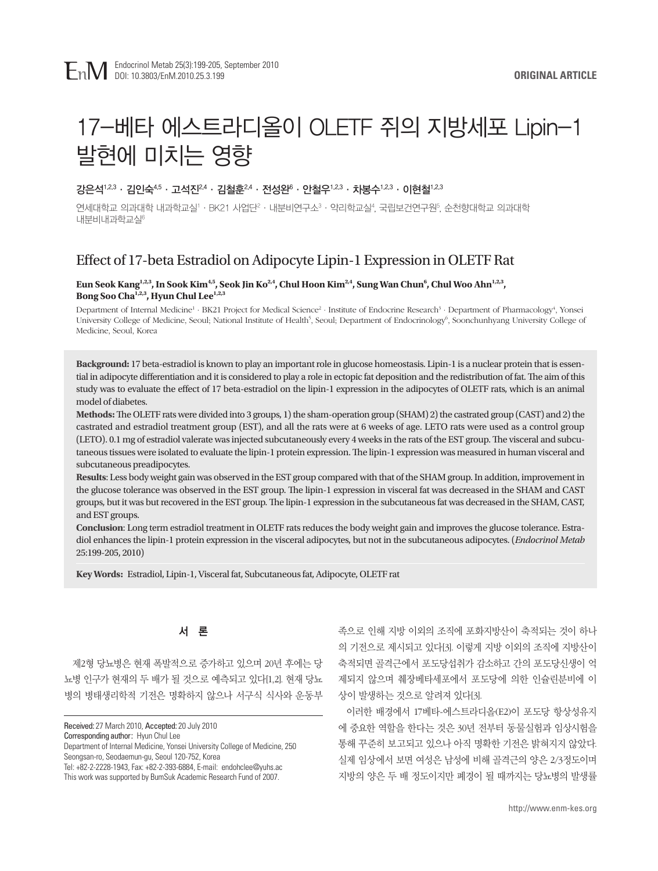# 17-베타 에스트라디올이 OLETF 쥐의 지방세포 Lipin-1 발현에 미치는 영향

## 강은석<sup>1,2,3</sup> · 김인숙<sup>4,5</sup> · 고석진<sup>2,4</sup> · 김철훈<sup>2,4</sup> · 전성완 $^6$  · 안철우<sup>1,2,3</sup> · 차봉수<sup>1,2,3</sup> · 이현철<sup>1,2,3</sup>

연세대학교 의과대학 내과학교실'· · BK21 사업단º · 내분비연구소º · 약리학교실', 국립보건연구원', 순천향대학교 의과대학 내분비내과학교실<sup>6</sup>

# Effect of 17-beta Estradiol on Adipocyte Lipin-1 Expression in OLETF Rat

#### Eun Seok Kang<sup>1,2,3</sup>, In Sook Kim<sup>4,5</sup>, Seok Jin Ko<sup>2,4</sup>, Chul Hoon Kim<sup>2,4</sup>, Sung Wan Chun<sup>6</sup>, Chul Woo Ahn<sup>1,2,3</sup>, Bong Soo Cha<sup>1,2,3</sup>, Hyun Chul Lee<sup>1,2,3</sup>

Department of Internal Medicine<sup>1</sup> · BK21 Project for Medical Science<sup>2</sup> · Institute of Endocrine Research<sup>3</sup> · Department of Pharmacology<sup>4</sup>, Yonsei University College of Medicine, Seoul; National Institute of Health<sup>5</sup>, Seoul; Department of Endocrinology<sup>6</sup>, Soonchunhyang University College of Medicine, Seoul, Korea

**Background:** 17 beta-estradiol is known to play an important role in glucose homeostasis. Lipin-1 is a nuclear protein that is essential in adipocyte differentiation and it is considered to play a role in ectopic fat deposition and the redistribution of fat. The aim of this study was to evaluate the effect of 17 beta-estradiol on the lipin-1 expression in the adipocytes of OLETF rats, which is an animal model of diabetes.

**Methods:** The OLETF rats were divided into 3 groups, 1) the sham-operation group (SHAM) 2) the castrated group (CAST) and 2) the castrated and estradiol treatment group (EST), and all the rats were at 6 weeks of age. LETO rats were used as a control group (LETO). 0.1 mg of estradiol valerate was injected subcutaneously every 4 weeks in the rats of the EST group. The visceral and subcutaneous tissues were isolated to evaluate the lipin-1 protein expression. The lipin-1 expression was measured in human visceral and subcutaneous preadipocytes.

**Results**: Less body weight gain was observed in the EST group compared with that of the SHAM group. In addition, improvement in the glucose tolerance was observed in the EST group. The lipin-1 expression in visceral fat was decreased in the SHAM and CAST groups, but it was but recovered in the EST group. The lipin-1 expression in the subcutaneous fat was decreased in the SHAM, CAST, and EST groups.

**Conclusion**: Long term estradiol treatment in OLETF rats reduces the body weight gain and improves the glucose tolerance. Estradiol enhances the lipin-1 protein expression in the visceral adipocytes, but not in the subcutaneous adipocytes. (*Endocrinol Metab* 25:199-205, 2010)

**Key Words:** Estradiol, Lipin-1, Visceral fat, Subcutaneous fat, Adipocyte, OLETF rat

# 서 론

제2형 당뇨병은 현재 폭발적으로 증가하고 있으며 20년 후에는 당 뇨병 인구가 현재의 두 배가 될 것으로 예측되고 있다[1,2]. 현재 당뇨 병의 병태생리학적 기전은 명확하지 않으나 서구식 식사와 운동부

Received: 27 March 2010, Accepted: 20 July 2010

Corresponding author: Hyun Chul Lee

Department of Internal Medicine, Yonsei University College of Medicine, 250 Seongsan-ro, Seodaemun-gu, Seoul 120-752, Korea

Tel: +82-2-2228-1943, Fax: +82-2-393-6884, E-mail: endohclee@yuhs.ac This work was supported by BumSuk Academic Research Fund of 2007.

족으로 인해 지방 이외의 조직에 포화지방산이 축적되는 것이 하나 의 기전으로 제시되고 있다[3]. 이렇게 지방 이외의 조직에 지방산이 축적되면 골격근에서 포도당섭취가 감소하고 간의 포도당신생이 억 제되지 않으며 췌장베타세포에서 포도당에 의한 인슐린분비에 이 상이 발생하는 것으로 알려져 있다[3].

이러한 배경에서 17베타-에스트라디올(E2)이 포도당 항상성유지 에 중요한 역할을 한다는 것은 30년 전부터 동물실험과 임상시험을 통해 꾸준히 보고되고 있으나 아직 명확한 기전은 밝혀지지 않았다. 실제 임상에서 보면 여성은 남성에 비해 골격근의 양은 2/3정도이며 지방의 양은 두 배 정도이지만 폐경이 될 때까지는 당뇨병의 발생률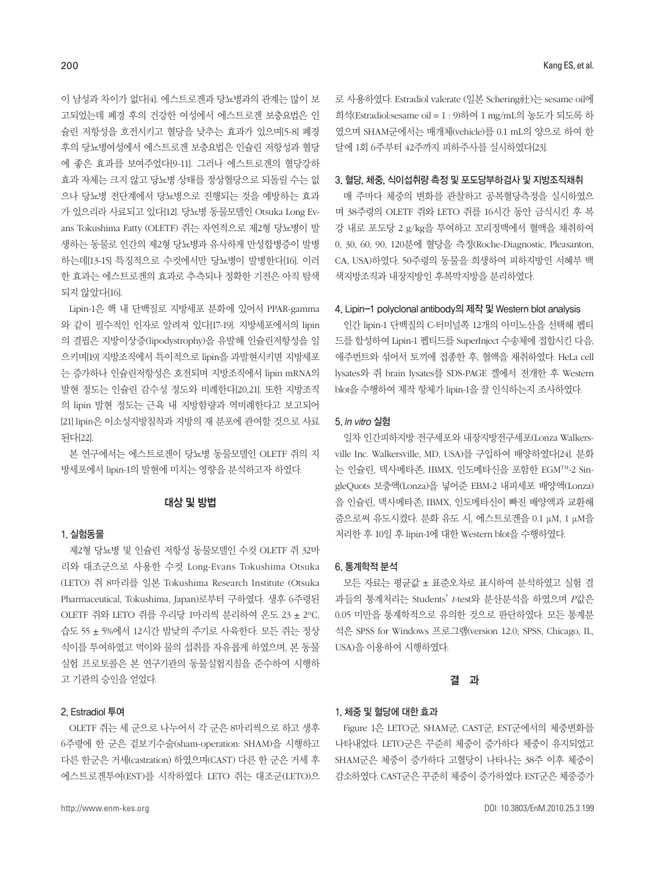이 남성과 차이가 없다[4]. 에스트로겐과 당뇨병과의 관계는 많이 보 고되었는데 폐경 후의 건강한 여성에서 에스트로겐 보충요법은 인 슐린 저항성을 호전시키고 혈당을 낮추는 효과가 있으며[5-8] 폐경 후의 당뇨병여성에서 에스트로겐 보충요법은 인슐린 저항성과 혈당 에 좋은 효과를 보여주었다[9-11]. 그러나 에스트로겐의 혈당강하 효과 자체는 크지 않고 당뇨병 상태를 정상혈당으로 되돌릴 수는 없 으나 당뇨병 전단계에서 당뇨병으로 진행되는 것을 예방하는 효과 가 있으리라 사료되고 있다[12]. 당뇨병 동물모델인 Otsuka Long Evans Tokushima Fatty (OLETF) 쥐는 자연적으로 제2형 당뇨병이 발 생하는 동물로 인간의 제2형 당뇨병과 유사하게 만성합병증이 발병 하는데[13-15] 특징적으로 수컷에서만 당뇨병이 발병한다[16]. 이러 한 효과는 에스트로겐의 효과로 추측되나 정확한 기전은 아직 탐색 되지 않았다[16].

Lipin-1은 핵 내 단백질로 지방세포 분화에 있어서 PPAR-gamma 와 같이 필수적인 인자로 알려져 있다[17-19]. 지방세포에서의 lipin 의 결핍은 지방이상증(lipodystrophy)을 유발해 인슐린저항성을 일 으키며[19] 지방조직에서 특이적으로 lipin을 과발현시키면 지방세포 는 증가하나 인슐린저항성은 호전되며 지방조직에서 lipin mRNA의 발현 정도는 인슐린 감수성 정도와 비례한다[20,21]. 또한 지방조직 의 lipin 발현 정도는 근육 내 지방함량과 역비례한다고 보고되어 [21] lipin은 이소성지방침착과 지방의 재 분포에 관여할 것으로 사료 된다[22].

본 연구에서는 에스트로겐이 당뇨병 동물모델인 OLETF 쥐의 지 방세포에서 lipin-1의 발현에 미치는 영향을 분석하고자 하였다.

#### 대상 및 방법

#### 1. 실험동물

제2형 당뇨병 및 인슐린 저항성 동물모델인 수컷 OLETF 쥐 32마 리와 대조군으로 사용한 수컷 Long-Evans Tokushima Otsuka (LETO) 쥐 8마리를 일본 Tokushima Research Institute (Otsuka Pharmaceutical, Tokushima, Japan)로부터 구하였다. 생후 6주령된 OLETF 쥐와 LETO 쥐를 우리당 1마리씩 분리하여 온도 23 ± 2°C, 습도 55 ± 5%에서 12시간 밤낮의 주기로 사육한다. 모든 쥐는 정상 식이를 투여하였고 먹이와 물의 섭취를 자유롭게 하였으며, 본 동물 실험 프로토콜은 본 연구기관의 동물실험지침을 준수하여 시행하 고 기관의 승인을 얻었다.

#### 2. Estradiol 투여

OLETF 쥐는 세 군으로 나누어서 각 군은 8마리씩으로 하고 생후 6주령에 한 군은 겉보기수술(sham-operation: SHAM)을 시행하고 다른 한군은 거세(castration) 하였으며(CAST) 다른 한 군은 거세 후 에스트로겐투여(EST)를 시작하였다. LETO 쥐는 대조군(LETO)으 로 사용하였다. Estradiol valerate (일본 Schering社)는 sesame oil에 희석(Estradiol:sesame oil = 1 : 9)하여 1 mg/mL의 농도가 되도록 하 였으며 SHAM군에서는 매개체(vehicle)를 0.1 mL의 양으로 하여 한 달에 1회 6주부터 42주까지 피하주사를 실시하였다[23].

#### 3. 혈당, 체중, 식이섭취량 측정 및 포도당부하검사 및 지방조직채취

매 주마다 체중의 변화를 관찰하고 공복혈당측정을 실시하였으 며 38주령의 OLETF 쥐와 LETO 쥐를 16시간 동안 금식시킨 후 복 강 내로 포도당 2 g/kg을 투여하고 꼬리정맥에서 혈액을 채취하여 0, 30, 60, 90, 120분에 혈당을 측정(Roche-Diagnostic, Pleasanton, CA, USA)하였다. 50주령의 동물을 희생하여 피하지방인 서혜부 백 색지방조직과 내장지방인 후복막지방을 분리하였다.

#### 4. Lipin-1 polyclonal antibody의 제작 및 Western blot analysis

인간 lipin-1 단백질의 C-터미널쪽 12개의 아미노산을 선택해 펩티 드를 합성하여 Lipin-1 펩티드를 SuperInject 수송체에 접합시킨 다음, 애주번트와 섞어서 토끼에 접종한 후, 혈액을 채취하였다. HeLa cell lysates와 쥐 brain lysates를 SDS-PAGE 겔에서 전개한 후 Western blot을 수행하여 제작 항체가 lipin-1을 잘 인식하는지 조사하였다.

#### 5. In vitro 실험

일차 인간피하지방 전구세포와 내장지방전구세포(Lonza Walkersville Inc. Walkersville, MD, USA)를 구입하여 배양하였다[24]. 분화 는 인슐린, 덱사메타존, IBMX, 인도메타신을 포함한 EGMTM-2 SingleQuots 보충액(Lonza)을 넣어준 EBM-2 내피세포 배양액(Lonza) 을 인슐린, 덱사메타존, IBMX, 인도메타신이 빠진 배양액과 교환해 줌으로써 유도시켰다. 분화 유도 시, 에스트로겐을 0.1 μM, 1 μM을 처리한 후 10일 후 lipin-1에 대한 Western blot을 수행하였다.

#### 6. 통계학적 분석

모든 자료는 평균값 ± 표준오차로 표시하여 분석하였고 실험 결 과들의 통계처리는 Students' *t*-test와 분산분석을 하였으며 *P*값은 0.05 미만을 통계학적으로 유의한 것으로 판단하였다. 모든 통계분 석은 SPSS for Windows 프로그램(version 12.0; SPSS, Chicago, IL, USA)을 이용하여 시행하였다.

#### 결 과

#### 1. 체중 및 혈당에 대한 효과

Figure 1은 LETO군, SHAM군, CAST군, EST군에서의 체중변화를 나타내었다. LETO군은 꾸준히 체중이 증가하다 체중이 유지되었고 SHAM군은 체중이 증가하다 고혈당이 나타나는 38주 이후 체중이 감소하였다. CAST군은 꾸준히 체중이 증가하였다. EST군은 체중증가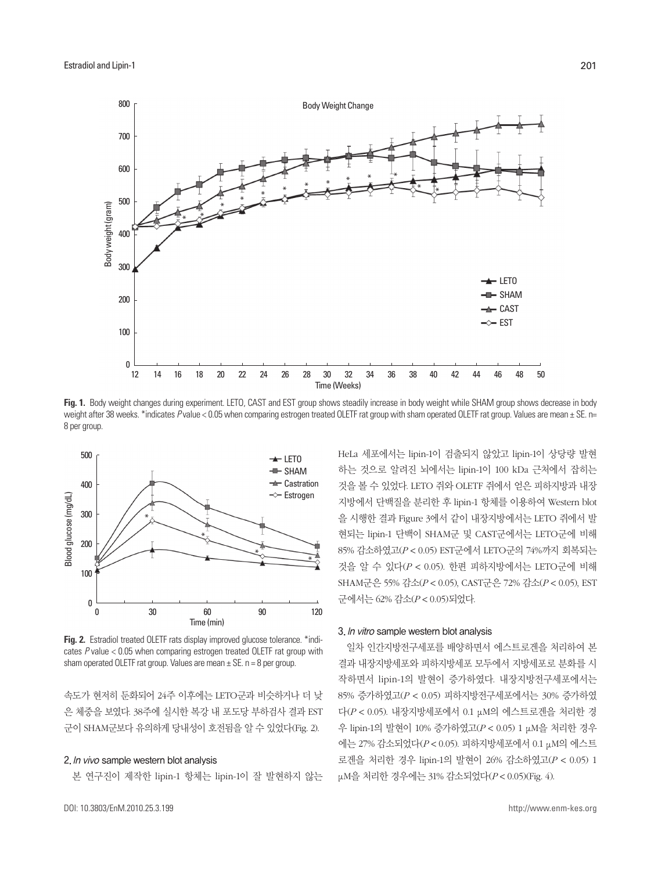

**Fig. 1.** Body weight changes during experiment. LETO, CAST and EST group shows steadily increase in body weight while SHAM group shows decrease in body weight after 38 weeks. \*indicates Pvalue < 0.05 when comparing estrogen treated OLETF rat group with sham operated OLETF rat group. Values are mean ± SE. n= 8 per group.



**Fig. 2.** Estradiol treated OLETF rats display improved glucose tolerance. \*indicates *P* value < 0.05 when comparing estrogen treated OLETF rat group with sham operated OLETF rat group. Values are mean  $\pm$  SE. n = 8 per group.

속도가 현저히 둔화되어 24주 이후에는 LETO군과 비슷하거나 더 낮 은 체중을 보였다. 38주에 실시한 복강 내 포도당 부하검사 결과 EST 군이 SHAM군보다 유의하게 당내성이 호전됨을 알 수 있었다(Fig. 2).

#### 2. In vivo sample western blot analysis

본 연구진이 제작한 lipin-1 항체는 lipin-1이 잘 발현하지 않는

DOI: 10.3803/EnM.2010.25.3.199

HeLa 세포에서는 lipin-1이 검출되지 않았고 lipin-1이 상당량 발현 하는 것으로 알려진 뇌에서는 lipin-1이 100 kDa 근처에서 잡히는 것을 볼 수 있었다. LETO 쥐와 OLETF 쥐에서 얻은 피하지방과 내장 지방에서 단백질을 분리한 후 lipin-1 항체를 이용하여 Western blot 을 시행한 결과 Figure 3에서 같이 내장지방에서는 LETO 쥐에서 발 현되는 lipin-1 단백이 SHAM군 및 CAST군에서는 LETO군에 비해 85% 감소하였고(*P* < 0.05) EST군에서 LETO군의 74%까지 회복되는 것을 알 수 있다(*P* < 0.05). 한편 피하지방에서는 LETO군에 비해 SHAM군은 55% 감소(*P* < 0.05), CAST군은 72% 감소(*P* < 0.05), EST 군에서는 62% 감소(*P* < 0.05)되었다.

#### 3. In vitro sample western blot analysis

일차 인간지방전구세포를 배양하면서 에스트로겐을 처리하여 본 결과 내장지방세포와 피하지방세포 모두에서 지방세포로 분화를 시 작하면서 lipin-1의 발현이 증가하였다. 내장지방전구세포에서는 85% 증가하였고(*P* < 0.05) 피하지방전구세포에서는 30% 증가하였 다(*P* < 0.05). 내장지방세포에서 0.1 μM의 에스트로겐을 처리한 경 우 lipin-1의 발현이 10% 증가하였고(*P* < 0.05) 1 μM을 처리한 경우 에는 27% 감소되었다(*P* < 0.05). 피하지방세포에서 0.1 μM의 에스트 로겐을 처리한 경우 lipin-1의 발현이 26% 감소하였고(*P* < 0.05) 1 μM을 처리한 경우에는 31% 감소되었다(*P* < 0.05)(Fig. 4).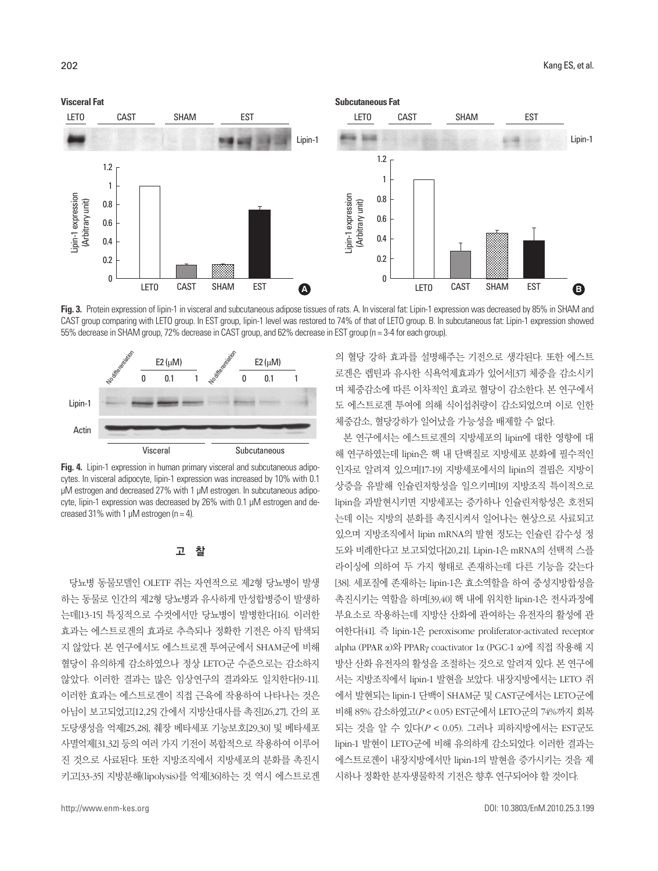

Fig. 3. Protein expression of lipin-1 in visceral and subcutaneous adipose tissues of rats. A. In visceral fat: Lipin-1 expression was decreased by 85% in SHAM and CAST group comparing with LETO group. In EST group, lipin-1 level was restored to 74% of that of LETO group. B. In subcutaneous fat: Lipin-1 expression showed



**Fig. 4.** Lipin-1 expression in human primary visceral and subcutaneous adipocytes. In visceral adipocyte, lipin-1 expression was increased by 10% with 0.1 μM estrogen and decreased 27% with 1 μM estrogen. In subcutaneous adipocyte, lipin-1 expression was decreased by 26% with 0.1 μM estrogen and decreased 31% with 1  $\mu$ M estrogen (n = 4).

## 고 찰

당뇨병 동물모델인 OLETF 쥐는 자연적으로 제2형 당뇨병이 발생 하는 동물로 인간의 제2형 당뇨병과 유사하게 만성합병증이 발생하 는데[13-15] 특징적으로 수컷에서만 당뇨병이 발병한다[16]. 이러한 효과는 에스트로겐의 효과로 추측되나 정확한 기전은 아직 탐색되 지 않았다. 본 연구에서도 에스트로겐 투여군에서 SHAM군에 비해 혈당이 유의하게 감소하였으나 정상 LETO군 수준으로는 감소하지 않았다. 이러한 결과는 많은 임상연구의 결과와도 일치한다[9-11]. 이러한 효과는 에스트로겐이 직접 근육에 작용하여 나타나는 것은 아님이 보고되었고[12,25] 간에서 지방산대사를 촉진[26,27], 간의 포 도당생성을 억제[25,28], 췌장 베타세포 기능보호[29,30] 및 베타세포 사멸억제[31,32] 등의 여러 가지 기전이 복합적으로 작용하여 이루어 진 것으로 사료된다. 또한 지방조직에서 지방세포의 분화를 촉진시 키고[33-35] 지방분해(lipolysis)를 억제[36]하는 것 역시 에스트로겐 의 혈당 강하 효과를 설명해주는 기전으로 생각된다. 또한 에스트 로겐은 렙틴과 유사한 식욕억제효과가 있어서[37] 체중을 감소시키 며 체중감소에 따른 이차적인 효과로 혈당이 감소한다. 본 연구에서 도 에스트로겐 투여에 의해 식이섭취량이 감소되었으며 이로 인한 체중감소, 혈당강하가 일어났을 가능성을 배제할 수 없다.

본 연구에서는 에스트로겐의 지방세포의 lipin에 대한 영향에 대 해 연구하였는데 lipin은 핵 내 단백질로 지방세포 분화에 필수적인 인자로 알려져 있으며[17-19] 지방세포에서의 lipin의 결핍은 지방이 상증을 유발해 인슐린저항성을 일으키며[19] 지방조직 특이적으로 lipin을 과발현시키면 지방세포는 증가하나 인슐린저항성은 호전되 는데 이는 지방의 분화를 촉진시켜서 일어나는 현상으로 사료되고 있으며 지방조직에서 lipin mRNA의 발현 정도는 인슐린 감수성 정 도와 비례한다고 보고되었다[20,21]. Lipin-1은 mRNA의 선택적 스플 라이싱에 의하여 두 가지 형태로 존재하는데 다른 기능을 갖는다 [38]. 세포질에 존재하는 lipin-1은 효소역할을 하여 중성지방합성을 촉진시키는 역할을 하며[39,40] 핵 내에 위치한 lipin-1은 전사과정에 부요소로 작용하는데 지방산 산화에 관여하는 유전자의 활성에 관 여한다[41]. 즉 lipin-1은 peroxisome proliferator-activated receptor alpha (PPAR α)와 PPARγ coactivator 1α (PGC-1 α)에 직접 작용해 지 방산 산화 유전자의 활성을 조절하는 것으로 알려져 있다. 본 연구에 서는 지방조직에서 lipin-1 발현을 보았다. 내장지방에서는 LETO 쥐 에서 발현되는 lipin-1 단백이 SHAM군 및 CAST군에서는 LETO군에 비해 85% 감소하였고(*P* < 0.05) EST군에서 LETO군의 74%까지 회복 되는 것을 알 수 있다(*P* < 0.05). 그러나 피하지방에서는 EST군도 lipin-1 발현이 LETO군에 비해 유의하게 감소되었다. 이러한 결과는 에스트로겐이 내장지방에서만 lipin-1의 발현을 증가시키는 것을 제 시하나 정확한 분자생물학적 기전은 향후 연구되어야 할 것이다.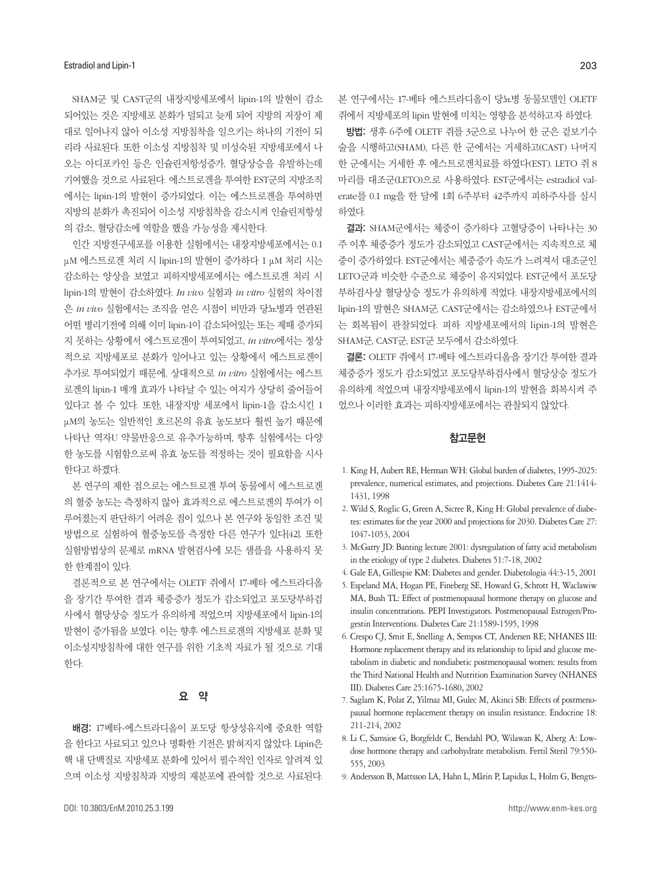SHAM군 및 CAST군의 내장지방세포에서 lipin-1의 발현이 감소 되어있는 것은 지방세포 분화가 덜되고 늦게 되어 지방의 저장이 제 대로 일어나지 않아 이소성 지방침착을 일으키는 하나의 기전이 되 리라 사료된다. 또한 이소성 지방침착 및 미성숙된 지방세포에서 나 오는 아디포카인 등은 인슐린저항성증가, 혈당상승을 유발하는데 기여했을 것으로 사료된다. 에스트로겐을 투여한 EST군의 지방조직 에서는 lipin-1의 발현이 증가되었다. 이는 에스트로겐을 투여하면 지방의 분화가 촉진되어 이소성 지방침착을 감소시켜 인슐린저항성 의 감소, 혈당감소에 역할을 했을 가능성을 제시한다.

인간 지방전구세포를 이용한 실험에서는 내장지방세포에서는 0.1 μM 에스트로겐 처리 시 lipin-1의 발현이 증가하다 1 μM 처리 시는 감소하는 양상을 보였고 피하지방세포에서는 에스트로겐 처리 시 lipin-1의 발현이 감소하였다. *In vivo* 실험과 *in vitro* 실험의 차이점 은 *in vivo* 실험에서는 조직을 얻은 시점이 비만과 당뇨병과 연관된 어떤 병리기전에 의해 이미 lipin-1이 감소되어있는 또는 제때 증가되 지 못하는 상황에서 에스트로겐이 투여되었고, *in vitro*에서는 정상 적으로 지방세포로 분화가 일어나고 있는 상황에서 에스트로겐이 추가로 투여되었기 때문에, 상대적으로 *in vitro* 실험에서는 에스트 로겐의 lipin-1 매개 효과가 나타날 수 있는 여지가 상당히 줄어들어 있다고 볼 수 있다. 또한, 내장지방 세포에서 lipin-1을 감소시킨 1 μM의 농도는 일반적인 호르몬의 유효 농도보다 훨씬 높기 때문에 나타난 역자U 약물반응으로 유추가능하며, 향후 실험에서는 다양 한 농도를 시험함으로써 유효 농도를 적정하는 것이 필요함을 시사 한다고 하겠다.

본 연구의 제한 점으로는 에스트로겐 투여 동물에서 에스트로겐 의 혈중 농도는 측정하지 않아 효과적으로 에스트로겐의 투여가 이 루어졌는지 판단하기 어려운 점이 있으나 본 연구와 동일한 조건 및 방법으로 실험하여 혈중농도를 측정한 다른 연구가 있다[42]. 또한 실험방법상의 문제로 mRNA 발현검사에 모든 샘플을 사용하지 못 한 한계점이 있다.

결론적으로 본 연구에서는 OLETF 쥐에서 17-베타 에스트라디올 을 장기간 투여한 결과 체중증가 정도가 감소되었고 포도당부하검 사에서 혈당상승 정도가 유의하게 적었으며 지방세포에서 lipin-1의 발현이 증가됨을 보였다. 이는 향후 에스트로겐의 지방세포 분화 및 이소성지방침착에 대한 연구를 위한 기초적 자료가 될 것으로 기대 한다.

#### 요 약

배경: 17베타-에스트라디올이 포도당 항상성유지에 중요한 역할 을 한다고 사료되고 있으나 명확한 기전은 밝혀지지 않았다. Lipin은 핵 내 단백질로 지방세포 분화에 있어서 필수적인 인자로 알려져 있 으며 이소성 지방침착과 지방의 재분포에 관여할 것으로 사료된다. 본 연구에서는 17-베타 에스트라디올이 당뇨병 동물모델인 OLETF 쥐에서 지방세포의 lipin 발현에 미치는 영향을 분석하고자 하였다.

방법: 생후 6주에 OLETF 쥐를 3군으로 나누어 한 군은 겉보기수 술을 시행하고(SHAM), 다른 한 군에서는 거세하고(CAST) 나머지 한 군에서는 거세한 후 에스트로겐치료를 하였다(EST). LETO 쥐 8 마리를 대조군(LETO)으로 사용하였다. EST군에서는 estradiol valerate를 0.1 mg을 한 달에 1회 6주부터 42주까지 피하주사를 실시 하였다.

결과: SHAM군에서는 체중이 증가하다 고혈당증이 나타나는 30 주 이후 체중증가 정도가 감소되었고 CAST군에서는 지속적으로 체 중이 증가하였다. EST군에서는 체중증가 속도가 느려져서 대조군인 LETO군과 비슷한 수준으로 체중이 유지되었다. EST군에서 포도당 부하검사상 혈당상승 정도가 유의하게 적었다. 내장지방세포에서의 lipin-1의 발현은 SHAM군, CAST군에서는 감소하였으나 EST군에서 는 회복됨이 관찰되었다. 피하 지방세포에서의 lipin-1의 발현은 SHAM군, CAST군, EST군 모두에서 감소하였다.

결론: OLETF 쥐에서 17-베타 에스트라디올을 장기간 투여한 결과 체중증가 정도가 감소되었고 포도당부하검사에서 혈당상승 정도가 유의하게 적었으며 내장지방세포에서 lipin-1의 발현을 회복시켜 주 었으나 이러한 효과는 피하지방세포에서는 관찰되지 않았다.

## 참고문헌

- 1. King H, Aubert RE, Herman WH: Global burden of diabetes, 1995-2025: prevalence, numerical estimates, and projections. Diabetes Care 21:1414- 1431, 1998
- 2. Wild S, Roglic G, Green A, Sicree R, King H: Global prevalence of diabetes: estimates for the year 2000 and projections for 2030. Diabetes Care 27: 1047-1053, 2004
- 3. McGarry JD: Banting lecture 2001: dysregulation of fatty acid metabolism in the etiology of type 2 diabetes. Diabetes 51:7-18, 2002
- 4. Gale EA, Gillespie KM: Diabetes and gender. Diabetologia 44:3-15, 2001
- 5. Espeland MA, Hogan PE, Fineberg SE, Howard G, Schrott H, Waclawiw MA, Bush TL: Effect of postmenopausal hormone therapy on glucose and insulin concentrations. PEPI Investigators. Postmenopausal Estrogen/Progestin Interventions. Diabetes Care 21:1589-1595, 1998
- 6. Crespo CJ, Smit E, Snelling A, Sempos CT, Andersen RE; NHANES III: Hormone replacement therapy and its relationship to lipid and glucose metabolism in diabetic and nondiabetic postmenopausal women: results from the Third National Health and Nutrition Examination Survey (NHANES III). Diabetes Care 25:1675-1680, 2002
- 7. Saglam K, Polat Z, Yilmaz MI, Gulec M, Akinci SB: Effects of postmenopausal hormone replacement therapy on insulin resistance. Endocrine 18: 211-214, 2002
- 8. Li C, Samsioe G, Borgfeldt C, Bendahl PO, Wilawan K, Aberg A: Lowdose hormone therapy and carbohydrate metabolism. Fertil Steril 79:550- 555, 2003
- 9. Andersson B, Mattsson LA, Hahn L, Mårin P, Lapidus L, Holm G, Bengts-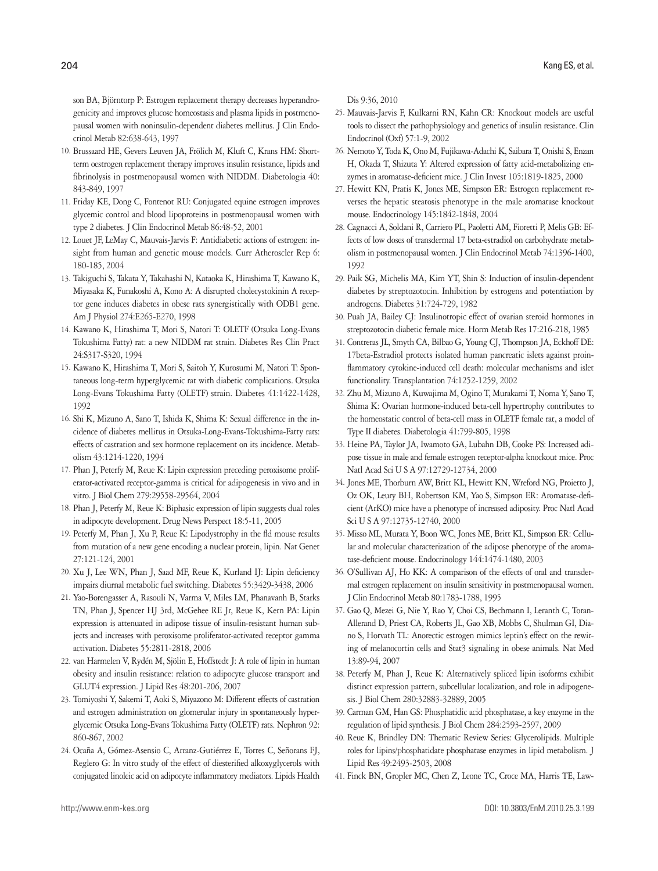son BA, Björntorp P: Estrogen replacement therapy decreases hyperandrogenicity and improves glucose homeostasis and plasma lipids in postmenopausal women with noninsulin-dependent diabetes mellitus. J Clin Endocrinol Metab 82:638-643, 1997

- 10. Brussaard HE, Gevers Leuven JA, Frölich M, Kluft C, Krans HM: Shortterm oestrogen replacement therapy improves insulin resistance, lipids and fibrinolysis in postmenopausal women with NIDDM. Diabetologia 40: 843-849, 1997
- 11. Friday KE, Dong C, Fontenot RU: Conjugated equine estrogen improves glycemic control and blood lipoproteins in postmenopausal women with type 2 diabetes. J Clin Endocrinol Metab 86:48-52, 2001
- 12. Louet JF, LeMay C, Mauvais-Jarvis F: Antidiabetic actions of estrogen: insight from human and genetic mouse models. Curr Atheroscler Rep 6: 180-185, 2004
- 13. Takiguchi S, Takata Y, Takahashi N, Kataoka K, Hirashima T, Kawano K, Miyasaka K, Funakoshi A, Kono A: A disrupted cholecystokinin A receptor gene induces diabetes in obese rats synergistically with ODB1 gene. Am J Physiol 274:E265-E270, 1998
- 14. Kawano K, Hirashima T, Mori S, Natori T: OLETF (Otsuka Long-Evans Tokushima Fatty) rat: a new NIDDM rat strain. Diabetes Res Clin Pract 24:S317-S320, 1994
- 15. Kawano K, Hirashima T, Mori S, Saitoh Y, Kurosumi M, Natori T: Spontaneous long-term hyperglycemic rat with diabetic complications. Otsuka Long-Evans Tokushima Fatty (OLETF) strain. Diabetes 41:1422-1428, 1992
- 16. Shi K, Mizuno A, Sano T, Ishida K, Shima K: Sexual difference in the incidence of diabetes mellitus in Otsuka-Long-Evans-Tokushima-Fatty rats: effects of castration and sex hormone replacement on its incidence. Metabolism 43:1214-1220, 1994
- 17. Phan J, Peterfy M, Reue K: Lipin expression preceding peroxisome proliferator-activated receptor-gamma is critical for adipogenesis in vivo and in vitro. J Biol Chem 279:29558-29564, 2004
- 18. Phan J, Peterfy M, Reue K: Biphasic expression of lipin suggests dual roles in adipocyte development. Drug News Perspect 18:5-11, 2005
- 19. Peterfy M, Phan J, Xu P, Reue K: Lipodystrophy in the fld mouse results from mutation of a new gene encoding a nuclear protein, lipin. Nat Genet 27:121-124, 2001
- 20. Xu J, Lee WN, Phan J, Saad MF, Reue K, Kurland IJ: Lipin deficiency impairs diurnal metabolic fuel switching. Diabetes 55:3429-3438, 2006
- 21. Yao-Borengasser A, Rasouli N, Varma V, Miles LM, Phanavanh B, Starks TN, Phan J, Spencer HJ 3rd, McGehee RE Jr, Reue K, Kern PA: Lipin expression is attenuated in adipose tissue of insulin-resistant human subjects and increases with peroxisome proliferator-activated receptor gamma activation. Diabetes 55:2811-2818, 2006
- 22. van Harmelen V, Rydén M, Sjölin E, Hoffstedt J: A role of lipin in human obesity and insulin resistance: relation to adipocyte glucose transport and GLUT4 expression. J Lipid Res 48:201-206, 2007
- 23. Tomiyoshi Y, Sakemi T, Aoki S, Miyazono M: Different effects of castration and estrogen administration on glomerular injury in spontaneously hyperglycemic Otsuka Long-Evans Tokushima Fatty (OLETF) rats. Nephron 92: 860-867, 2002
- 24. Ocaña A, Gómez-Asensio C, Arranz-Gutiérrez E, Torres C, Señorans FJ, Reglero G: In vitro study of the effect of diesterified alkoxyglycerols with conjugated linoleic acid on adipocyte inflammatory mediators. Lipids Health

Dis 9:36, 2010

- 25. Mauvais-Jarvis F, Kulkarni RN, Kahn CR: Knockout models are useful tools to dissect the pathophysiology and genetics of insulin resistance. Clin Endocrinol (Oxf) 57:1-9, 2002
- 26. Nemoto Y, Toda K, Ono M, Fujikawa-Adachi K, Saibara T, Onishi S, Enzan H, Okada T, Shizuta Y: Altered expression of fatty acid-metabolizing enzymes in aromatase-deficient mice. J Clin Invest 105:1819-1825, 2000
- 27. Hewitt KN, Pratis K, Jones ME, Simpson ER: Estrogen replacement reverses the hepatic steatosis phenotype in the male aromatase knockout mouse. Endocrinology 145:1842-1848, 2004
- 28. Cagnacci A, Soldani R, Carriero PL, Paoletti AM, Fioretti P, Melis GB: Effects of low doses of transdermal 17 beta-estradiol on carbohydrate metabolism in postmenopausal women. J Clin Endocrinol Metab 74:1396-1400, 1992
- 29. Paik SG, Michelis MA, Kim YT, Shin S: Induction of insulin-dependent diabetes by streptozotocin. Inhibition by estrogens and potentiation by androgens. Diabetes 31:724-729, 1982
- 30. Puah JA, Bailey CJ: Insulinotropic effect of ovarian steroid hormones in streptozotocin diabetic female mice. Horm Metab Res 17:216-218, 1985
- 31. Contreras JL, Smyth CA, Bilbao G, Young CJ, Thompson JA, Eckhoff DE: 17beta-Estradiol protects isolated human pancreatic islets against proinflammatory cytokine-induced cell death: molecular mechanisms and islet functionality. Transplantation 74:1252-1259, 2002
- 32. Zhu M, Mizuno A, Kuwajima M, Ogino T, Murakami T, Noma Y, Sano T, Shima K: Ovarian hormone-induced beta-cell hypertrophy contributes to the homeostatic control of beta-cell mass in OLETF female rat, a model of Type II diabetes. Diabetologia 41:799-805, 1998
- 33. Heine PA, Taylor JA, Iwamoto GA, Lubahn DB, Cooke PS: Increased adipose tissue in male and female estrogen receptor-alpha knockout mice. Proc Natl Acad Sci U S A 97:12729-12734, 2000
- 34. Jones ME, Thorburn AW, Britt KL, Hewitt KN, Wreford NG, Proietto J, Oz OK, Leury BH, Robertson KM, Yao S, Simpson ER: Aromatase-deficient (ArKO) mice have a phenotype of increased adiposity. Proc Natl Acad Sci U S A 97:12735-12740, 2000
- 35. Misso ML, Murata Y, Boon WC, Jones ME, Britt KL, Simpson ER: Cellular and molecular characterization of the adipose phenotype of the aromatase-deficient mouse. Endocrinology 144:1474-1480, 2003
- 36. O'Sullivan AJ, Ho KK: A comparison of the effects of oral and transdermal estrogen replacement on insulin sensitivity in postmenopausal women. J Clin Endocrinol Metab 80:1783-1788, 1995
- 37. Gao Q, Mezei G, Nie Y, Rao Y, Choi CS, Bechmann I, Leranth C, Toran-Allerand D, Priest CA, Roberts JL, Gao XB, Mobbs C, Shulman GI, Diano S, Horvath TL: Anorectic estrogen mimics leptin's effect on the rewiring of melanocortin cells and Stat3 signaling in obese animals. Nat Med 13:89-94, 2007
- 38. Peterfy M, Phan J, Reue K: Alternatively spliced lipin isoforms exhibit distinct expression pattern, subcellular localization, and role in adipogenesis. J Biol Chem 280:32883-32889, 2005
- 39. Carman GM, Han GS: Phosphatidic acid phosphatase, a key enzyme in the regulation of lipid synthesis. J Biol Chem 284:2593-2597, 2009
- 40. Reue K, Brindley DN: Thematic Review Series: Glycerolipids. Multiple roles for lipins/phosphatidate phosphatase enzymes in lipid metabolism. J Lipid Res 49:2493-2503, 2008
- 41. Finck BN, Gropler MC, Chen Z, Leone TC, Croce MA, Harris TE, Law-